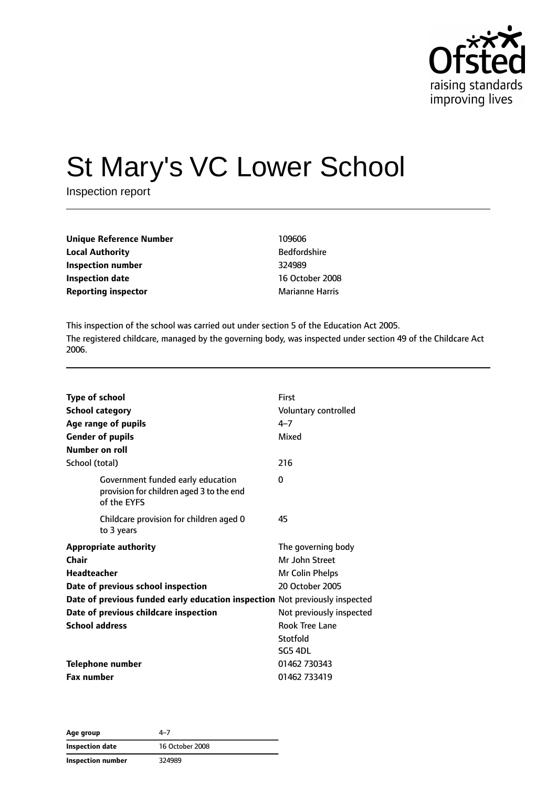

# St Mary's VC Lower School

Inspection report

| <b>Unique Reference Number</b> | 109606         |
|--------------------------------|----------------|
| <b>Local Authority</b>         | <b>Bedford</b> |
| Inspection number              | 324989         |
| Inspection date                | 16 Octo        |
| <b>Reporting inspector</b>     | Marianı        |

**Bedfordshire Inspection date** 16 October 2008 **Marianne Harris** 

This inspection of the school was carried out under section 5 of the Education Act 2005. The registered childcare, managed by the governing body, was inspected under section 49 of the Childcare Act 2006.

| <b>Type of school</b><br><b>School category</b><br>Age range of pupils<br><b>Gender of pupils</b><br>Number on roll |                                                                               | First<br>Voluntary controlled<br>$4 - 7$<br>Mixed |
|---------------------------------------------------------------------------------------------------------------------|-------------------------------------------------------------------------------|---------------------------------------------------|
| School (total)                                                                                                      |                                                                               | 216                                               |
| of the EYFS                                                                                                         | Government funded early education<br>provision for children aged 3 to the end | 0                                                 |
| to 3 years                                                                                                          | Childcare provision for children aged 0                                       | 45                                                |
| <b>Appropriate authority</b>                                                                                        |                                                                               | The governing body                                |
| Chair                                                                                                               |                                                                               | Mr John Street                                    |
| <b>Headteacher</b>                                                                                                  |                                                                               | Mr Colin Phelps                                   |
|                                                                                                                     | Date of previous school inspection                                            | 20 October 2005                                   |
|                                                                                                                     | Date of previous funded early education inspection Not previously inspected   |                                                   |
|                                                                                                                     | Date of previous childcare inspection                                         | Not previously inspected                          |
| <b>School address</b>                                                                                               |                                                                               | <b>Rook Tree Lane</b>                             |
|                                                                                                                     |                                                                               | Stotfold                                          |
|                                                                                                                     |                                                                               | SG5 4DL                                           |
| <b>Telephone number</b>                                                                                             |                                                                               | 01462 730343                                      |
| <b>Fax number</b>                                                                                                   |                                                                               | 01462 733419                                      |

**Age group** 4–7 **Inspection date** 16 October 2008 **Inspection number** 324989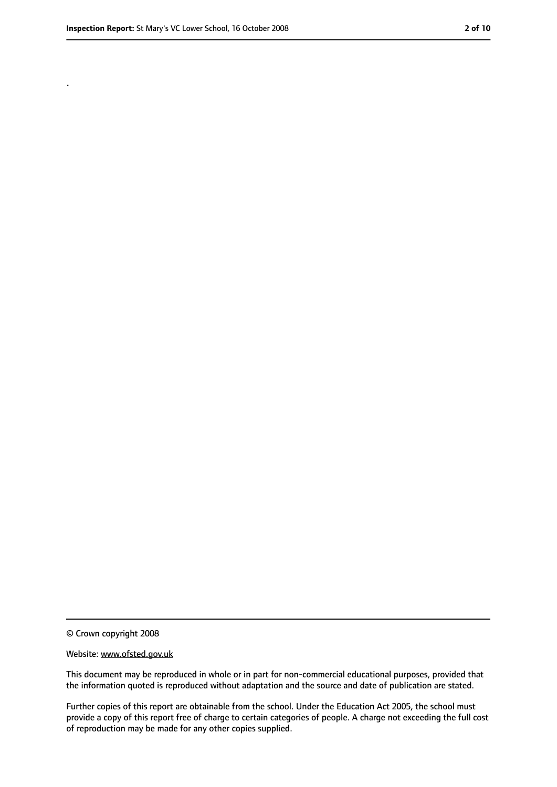.

<sup>©</sup> Crown copyright 2008

Website: www.ofsted.gov.uk

This document may be reproduced in whole or in part for non-commercial educational purposes, provided that the information quoted is reproduced without adaptation and the source and date of publication are stated.

Further copies of this report are obtainable from the school. Under the Education Act 2005, the school must provide a copy of this report free of charge to certain categories of people. A charge not exceeding the full cost of reproduction may be made for any other copies supplied.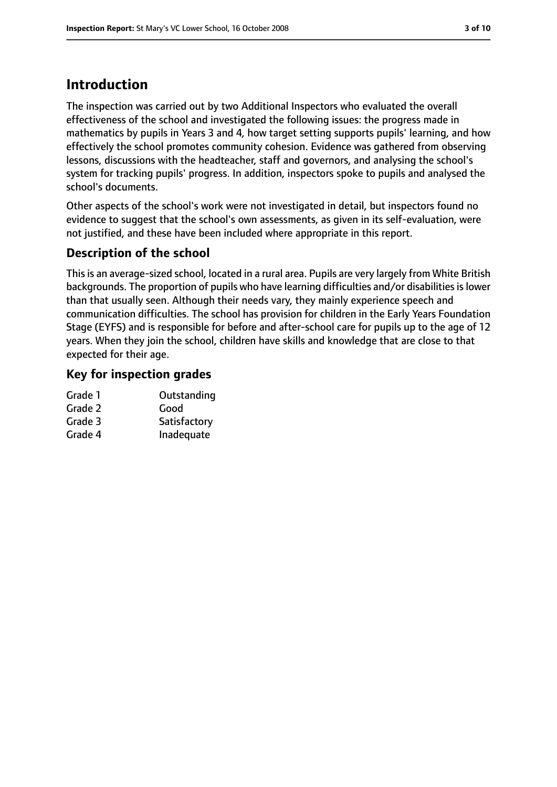# **Introduction**

The inspection was carried out by two Additional Inspectors who evaluated the overall effectiveness of the school and investigated the following issues: the progress made in mathematics by pupils in Years 3 and 4, how target setting supports pupils' learning, and how effectively the school promotes community cohesion. Evidence was gathered from observing lessons, discussions with the headteacher, staff and governors, and analysing the school's system for tracking pupils' progress. In addition, inspectors spoke to pupils and analysed the school's documents.

Other aspects of the school's work were not investigated in detail, but inspectors found no evidence to suggest that the school's own assessments, as given in its self-evaluation, were not justified, and these have been included where appropriate in this report.

## **Description of the school**

This is an average-sized school, located in a rural area. Pupils are very largely from White British backgrounds. The proportion of pupils who have learning difficulties and/or disabilities is lower than that usually seen. Although their needs vary, they mainly experience speech and communication difficulties. The school has provision for children in the Early Years Foundation Stage (EYFS) and is responsible for before and after-school care for pupils up to the age of 12 years. When they join the school, children have skills and knowledge that are close to that expected for their age.

#### **Key for inspection grades**

| Outstanding  |
|--------------|
| Good         |
| Satisfactory |
| Inadequate   |
|              |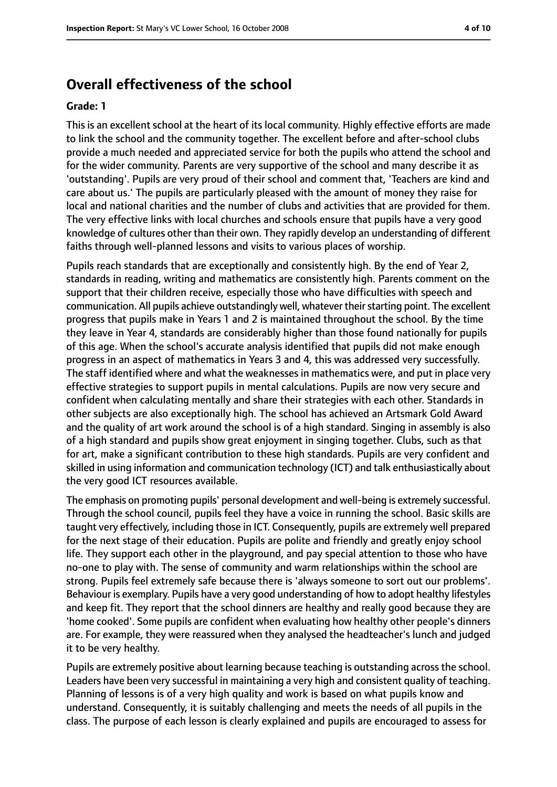#### **Overall effectiveness of the school**

#### **Grade: 1**

This is an excellent school at the heart of its local community. Highly effective efforts are made to link the school and the community together. The excellent before and after-school clubs provide a much needed and appreciated service for both the pupils who attend the school and for the wider community. Parents are very supportive of the school and many describe it as 'outstanding'. Pupils are very proud of their school and comment that, 'Teachers are kind and care about us.' The pupils are particularly pleased with the amount of money they raise for local and national charities and the number of clubs and activities that are provided for them. The very effective links with local churches and schools ensure that pupils have a very good knowledge of cultures other than their own. They rapidly develop an understanding of different faiths through well-planned lessons and visits to various places of worship.

Pupils reach standards that are exceptionally and consistently high. By the end of Year 2, standards in reading, writing and mathematics are consistently high. Parents comment on the support that their children receive, especially those who have difficulties with speech and communication. All pupils achieve outstandingly well, whatever their starting point. The excellent progress that pupils make in Years 1 and 2 is maintained throughout the school. By the time they leave in Year 4, standards are considerably higher than those found nationally for pupils of this age. When the school's accurate analysis identified that pupils did not make enough progress in an aspect of mathematics in Years 3 and 4, this was addressed very successfully. The staff identified where and what the weaknesses in mathematics were, and put in place very effective strategies to support pupils in mental calculations. Pupils are now very secure and confident when calculating mentally and share their strategies with each other. Standards in other subjects are also exceptionally high. The school has achieved an Artsmark Gold Award and the quality of art work around the school is of a high standard. Singing in assembly is also of a high standard and pupils show great enjoyment in singing together. Clubs, such as that for art, make a significant contribution to these high standards. Pupils are very confident and skilled in using information and communication technology (ICT) and talk enthusiastically about the very good ICT resources available.

The emphasis on promoting pupils' personal development and well-being is extremely successful. Through the school council, pupils feel they have a voice in running the school. Basic skills are taught very effectively, including those in ICT. Consequently, pupils are extremely well prepared for the next stage of their education. Pupils are polite and friendly and greatly enjoy school life. They support each other in the playground, and pay special attention to those who have no-one to play with. The sense of community and warm relationships within the school are strong. Pupils feel extremely safe because there is 'always someone to sort out our problems'. Behaviour is exemplary. Pupils have a very good understanding of how to adopt healthy lifestyles and keep fit. They report that the school dinners are healthy and really good because they are 'home cooked'. Some pupils are confident when evaluating how healthy other people's dinners are. For example, they were reassured when they analysed the headteacher's lunch and judged it to be very healthy.

Pupils are extremely positive about learning because teaching is outstanding across the school. Leaders have been very successful in maintaining a very high and consistent quality of teaching. Planning of lessons is of a very high quality and work is based on what pupils know and understand. Consequently, it is suitably challenging and meets the needs of all pupils in the class. The purpose of each lesson is clearly explained and pupils are encouraged to assess for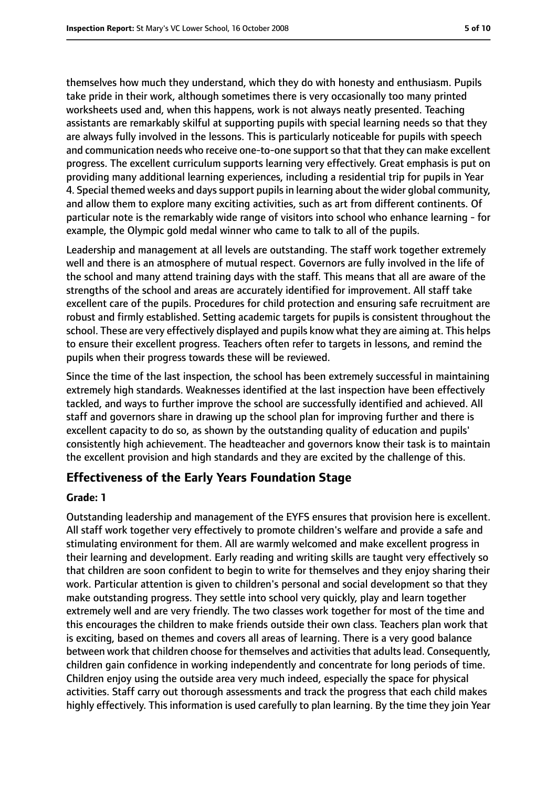themselves how much they understand, which they do with honesty and enthusiasm. Pupils take pride in their work, although sometimes there is very occasionally too many printed worksheets used and, when this happens, work is not always neatly presented. Teaching assistants are remarkably skilful at supporting pupils with special learning needs so that they are always fully involved in the lessons. This is particularly noticeable for pupils with speech and communication needs who receive one-to-one support so that that they can make excellent progress. The excellent curriculum supports learning very effectively. Great emphasis is put on providing many additional learning experiences, including a residential trip for pupils in Year 4. Special themed weeks and days support pupils in learning about the wider global community, and allow them to explore many exciting activities, such as art from different continents. Of particular note is the remarkably wide range of visitors into school who enhance learning - for example, the Olympic gold medal winner who came to talk to all of the pupils.

Leadership and management at all levels are outstanding. The staff work together extremely well and there is an atmosphere of mutual respect. Governors are fully involved in the life of the school and many attend training days with the staff. This means that all are aware of the strengths of the school and areas are accurately identified for improvement. All staff take excellent care of the pupils. Procedures for child protection and ensuring safe recruitment are robust and firmly established. Setting academic targets for pupils is consistent throughout the school. These are very effectively displayed and pupils know what they are aiming at. This helps to ensure their excellent progress. Teachers often refer to targets in lessons, and remind the pupils when their progress towards these will be reviewed.

Since the time of the last inspection, the school has been extremely successful in maintaining extremely high standards. Weaknesses identified at the last inspection have been effectively tackled, and ways to further improve the school are successfully identified and achieved. All staff and governors share in drawing up the school plan for improving further and there is excellent capacity to do so, as shown by the outstanding quality of education and pupils' consistently high achievement. The headteacher and governors know their task is to maintain the excellent provision and high standards and they are excited by the challenge of this.

#### **Effectiveness of the Early Years Foundation Stage**

#### **Grade: 1**

Outstanding leadership and management of the EYFS ensures that provision here is excellent. All staff work together very effectively to promote children's welfare and provide a safe and stimulating environment for them. All are warmly welcomed and make excellent progress in their learning and development. Early reading and writing skills are taught very effectively so that children are soon confident to begin to write for themselves and they enjoy sharing their work. Particular attention is given to children's personal and social development so that they make outstanding progress. They settle into school very quickly, play and learn together extremely well and are very friendly. The two classes work together for most of the time and this encourages the children to make friends outside their own class. Teachers plan work that is exciting, based on themes and covers all areas of learning. There is a very good balance between work that children choose for themselves and activities that adults lead. Consequently, children gain confidence in working independently and concentrate for long periods of time. Children enjoy using the outside area very much indeed, especially the space for physical activities. Staff carry out thorough assessments and track the progress that each child makes highly effectively. This information is used carefully to plan learning. By the time they join Year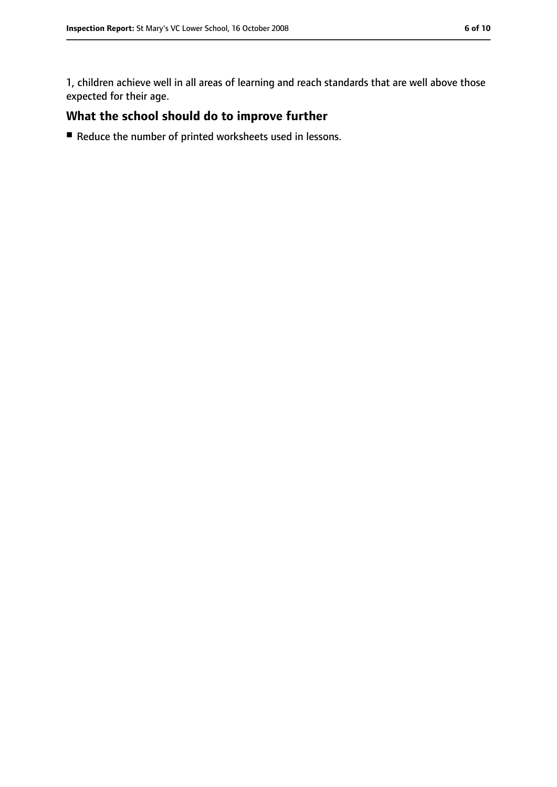1, children achieve well in all areas of learning and reach standards that are well above those expected for their age.

## **What the school should do to improve further**

■ Reduce the number of printed worksheets used in lessons.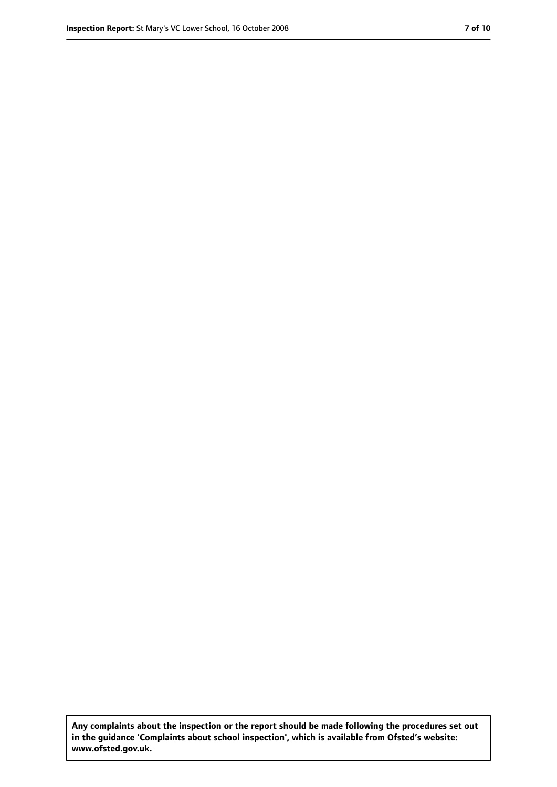**Any complaints about the inspection or the report should be made following the procedures set out in the guidance 'Complaints about school inspection', which is available from Ofsted's website: www.ofsted.gov.uk.**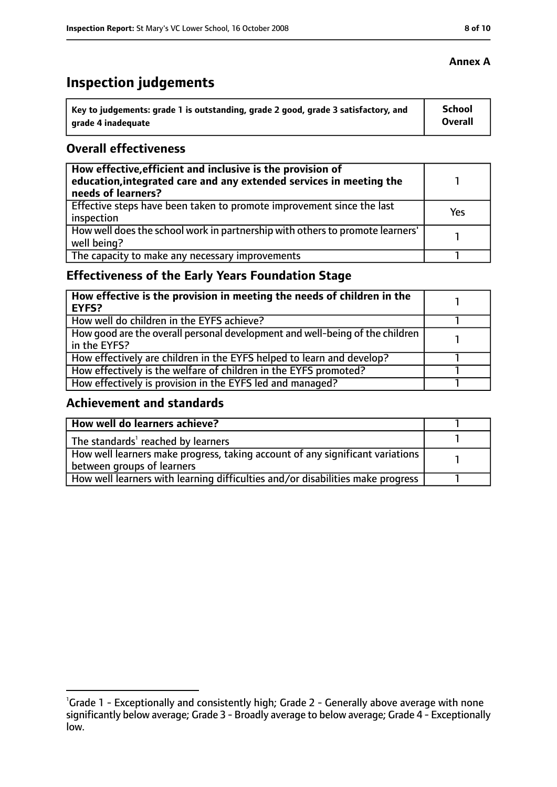# **Inspection judgements**

| \ Key to judgements: grade 1 is outstanding, grade 2 good, grade 3 satisfactory, and | <b>School</b>  |
|--------------------------------------------------------------------------------------|----------------|
| arade 4 inadequate                                                                   | <b>Overall</b> |

#### **Overall effectiveness**

| How effective, efficient and inclusive is the provision of<br>education, integrated care and any extended services in meeting the<br>needs of learners? |     |
|---------------------------------------------------------------------------------------------------------------------------------------------------------|-----|
| Effective steps have been taken to promote improvement since the last<br>inspection                                                                     | Yes |
| How well does the school work in partnership with others to promote learners'<br>well being?                                                            |     |
| The capacity to make any necessary improvements                                                                                                         |     |

## **Effectiveness of the Early Years Foundation Stage**

| How effective is the provision in meeting the needs of children in the<br>l EYFS?            |  |
|----------------------------------------------------------------------------------------------|--|
| How well do children in the EYFS achieve?                                                    |  |
| How good are the overall personal development and well-being of the children<br>in the EYFS? |  |
| How effectively are children in the EYFS helped to learn and develop?                        |  |
| How effectively is the welfare of children in the EYFS promoted?                             |  |
| How effectively is provision in the EYFS led and managed?                                    |  |

#### **Achievement and standards**

| How well do learners achieve?                                                  |  |
|--------------------------------------------------------------------------------|--|
| The standards <sup>1</sup> reached by learners                                 |  |
| How well learners make progress, taking account of any significant variations  |  |
| between groups of learners                                                     |  |
| How well learners with learning difficulties and/or disabilities make progress |  |

#### **Annex A**

<sup>&</sup>lt;sup>1</sup>Grade 1 - Exceptionally and consistently high; Grade 2 - Generally above average with none significantly below average; Grade 3 - Broadly average to below average; Grade 4 - Exceptionally low.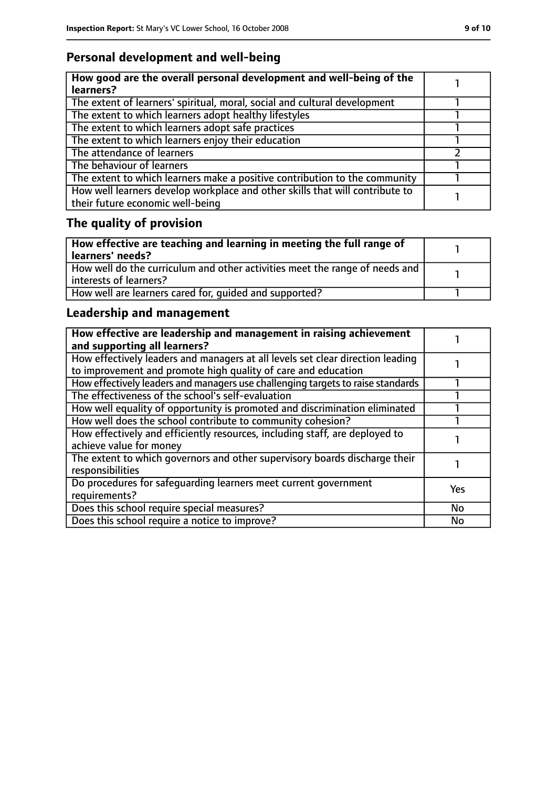## **Personal development and well-being**

| How good are the overall personal development and well-being of the<br>learners?                                 |  |
|------------------------------------------------------------------------------------------------------------------|--|
| The extent of learners' spiritual, moral, social and cultural development                                        |  |
| The extent to which learners adopt healthy lifestyles                                                            |  |
| The extent to which learners adopt safe practices                                                                |  |
| The extent to which learners enjoy their education                                                               |  |
| The attendance of learners                                                                                       |  |
| The behaviour of learners                                                                                        |  |
| The extent to which learners make a positive contribution to the community                                       |  |
| How well learners develop workplace and other skills that will contribute to<br>their future economic well-being |  |

# **The quality of provision**

| How effective are teaching and learning in meeting the full range of<br>learners' needs?              |  |
|-------------------------------------------------------------------------------------------------------|--|
| How well do the curriculum and other activities meet the range of needs and<br>interests of learners? |  |
| How well are learners cared for, quided and supported?                                                |  |

## **Leadership and management**

| How effective are leadership and management in raising achievement<br>and supporting all learners?                                              |            |
|-------------------------------------------------------------------------------------------------------------------------------------------------|------------|
| How effectively leaders and managers at all levels set clear direction leading<br>to improvement and promote high quality of care and education |            |
| How effectively leaders and managers use challenging targets to raise standards                                                                 |            |
| The effectiveness of the school's self-evaluation                                                                                               |            |
| How well equality of opportunity is promoted and discrimination eliminated                                                                      |            |
| How well does the school contribute to community cohesion?                                                                                      |            |
| How effectively and efficiently resources, including staff, are deployed to<br>achieve value for money                                          |            |
| The extent to which governors and other supervisory boards discharge their<br>responsibilities                                                  |            |
| Do procedures for safequarding learners meet current government<br>requirements?                                                                | <b>Yes</b> |
| Does this school require special measures?                                                                                                      | <b>No</b>  |
| Does this school require a notice to improve?                                                                                                   | No         |